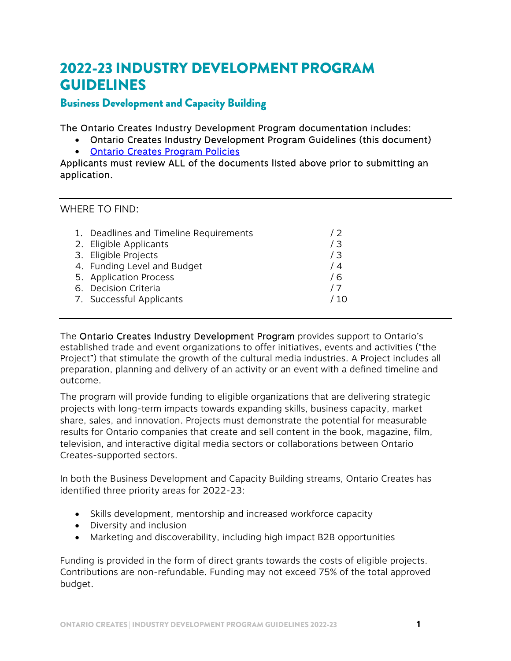# 2022-23 INDUSTRY DEVELOPMENT PROGRAM GUIDELINES

# Business Development and Capacity Building

The Ontario Creates Industry Development Program documentation includes:

- Ontario Creates Industry Development Program Guidelines (this document)
- [Ontario Creates Program Policies](https://ontariocreates.ca/uploads/Industry_Initiatives/ENG/OC-Program-Policies_FINAL.pdf)

Applicants must review ALL of the documents listed above prior to submitting an application.

WHERE TO FIND:

| 1. Deadlines and Timeline Requirements<br>2. Eligible Applicants<br>3. Eligible Projects<br>4. Funding Level and Budget<br>5. Application Process<br>6. Decision Criteria | 12<br>/3<br>/3<br>74<br>76 |
|---------------------------------------------------------------------------------------------------------------------------------------------------------------------------|----------------------------|
|                                                                                                                                                                           |                            |
| 7. Successful Applicants                                                                                                                                                  | 10 /                       |

The Ontario Creates Industry Development Program provides support to Ontario's established trade and event organizations to offer initiatives, events and activities ("the Project") that stimulate the growth of the cultural media industries. A Project includes all preparation, planning and delivery of an activity or an event with a defined timeline and outcome.

The program will provide funding to eligible organizations that are delivering strategic projects with long-term impacts towards expanding skills, business capacity, market share, sales, and innovation. Projects must demonstrate the potential for measurable results for Ontario companies that create and sell content in the book, magazine, film, television, and interactive digital media sectors or collaborations between Ontario Creates-supported sectors.

In both the Business Development and Capacity Building streams, Ontario Creates has identified three priority areas for 2022-23:

- Skills development, mentorship and increased workforce capacity
- Diversity and inclusion
- Marketing and discoverability, including high impact B2B opportunities

Funding is provided in the form of direct grants towards the costs of eligible projects. Contributions are non-refundable. Funding may not exceed 75% of the total approved budget.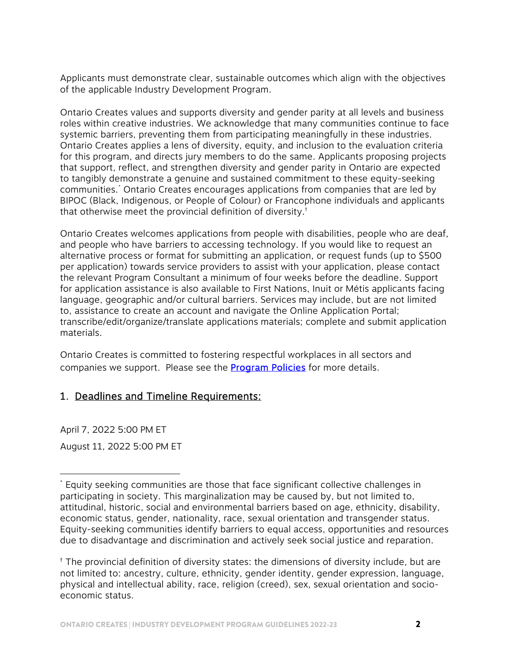Applicants must demonstrate clear, sustainable outcomes which align with the objectives of the applicable Industry Development Program.

Ontario Creates values and supports diversity and gender parity at all levels and business roles within creative industries. We acknowledge that many communities continue to face systemic barriers, preventing them from participating meaningfully in these industries. Ontario Creates applies a lens of diversity, equity, and inclusion to the evaluation criteria for this program, and directs jury members to do the same. Applicants proposing projects that support, reflect, and strengthen diversity and gender parity in Ontario are expected to tangibly demonstrate a genuine and sustained commitment to these equity-seeking communities.\* Ontario Creates encourages applications from companies that are led by BIPOC (Black, Indigenous, or People of Colour) or Francophone individuals and applicants that otherwise meet the provincial definition of diversity.†

Ontario Creates welcomes applications from people with disabilities, people who are deaf, and people who have barriers to accessing technology. If you would like to request an alternative process or format for submitting an application, or request funds (up to \$500 per application) towards service providers to assist with your application, please contact the relevant Program Consultant a minimum of four weeks before the deadline. Support for application assistance is also available to First Nations, Inuit or Métis applicants facing language, geographic and/or cultural barriers. Services may include, but are not limited to, assistance to create an account and navigate the Online Application Portal; transcribe/edit/organize/translate applications materials; complete and submit application materials.

Ontario Creates is committed to fostering respectful workplaces in all sectors and companies we support. Please see the **Program Policies** for more details.

## 1. Deadlines and Timeline Requirements:

April 7, 2022 5:00 PM ET August 11, 2022 5:00 PM ET

 $\overline{a}$ 

<sup>\*</sup> Equity seeking communities are those that face significant collective challenges in participating in society. This marginalization may be caused by, but not limited to, attitudinal, historic, social and environmental barriers based on age, ethnicity, disability, economic status, gender, nationality, race, sexual orientation and transgender status. Equity-seeking communities identify barriers to equal access, opportunities and resources due to disadvantage and discrimination and actively seek social justice and reparation.

<sup>†</sup> The provincial definition of diversity states: the dimensions of diversity include, but are not limited to: ancestry, culture, ethnicity, gender identity, gender expression, language, physical and intellectual ability, race, religion (creed), sex, sexual orientation and socioeconomic status.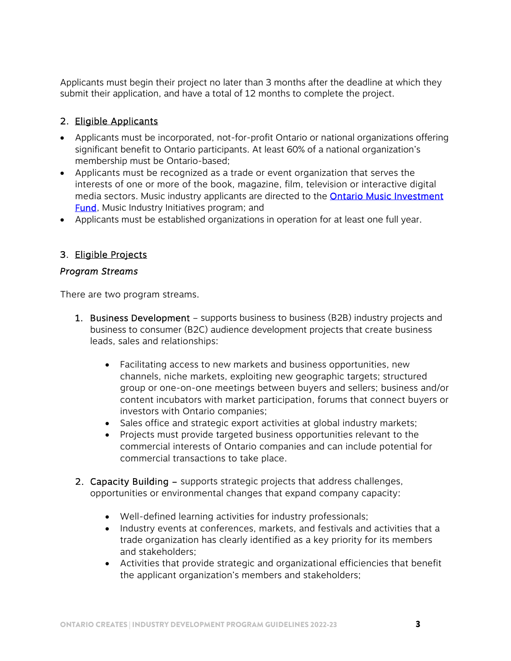Applicants must begin their project no later than 3 months after the deadline at which they submit their application, and have a total of 12 months to complete the project.

#### 2. Eligible Applicants

- Applicants must be incorporated, not-for-profit Ontario or national organizations offering significant benefit to Ontario participants. At least 60% of a national organization's membership must be Ontario-based;
- Applicants must be recognized as a trade or event organization that serves the interests of one or more of the book, magazine, film, television or interactive digital media sectors. Music industry applicants are directed to the **Ontario Music Investment Fund**, Music Industry Initiatives program; and
- Applicants must be established organizations in operation for at least one full year.

#### 3. Eligible Projects

#### *Program Streams*

There are two program streams.

- 1. Business Development supports business to business (B2B) industry projects and business to consumer (B2C) audience development projects that create business leads, sales and relationships:
	- Facilitating access to new markets and business opportunities, new channels, niche markets, exploiting new geographic targets; structured group or one-on-one meetings between buyers and sellers; business and/or content incubators with market participation, forums that connect buyers or investors with Ontario companies;
	- Sales office and strategic export activities at global industry markets;
	- Projects must provide targeted business opportunities relevant to the commercial interests of Ontario companies and can include potential for commercial transactions to take place.
- 2. Capacity Building supports strategic projects that address challenges, opportunities or environmental changes that expand company capacity:
	- Well-defined learning activities for industry professionals;
	- Industry events at conferences, markets, and festivals and activities that a trade organization has clearly identified as a key priority for its members and stakeholders;
	- Activities that provide strategic and organizational efficiencies that benefit the applicant organization's members and stakeholders;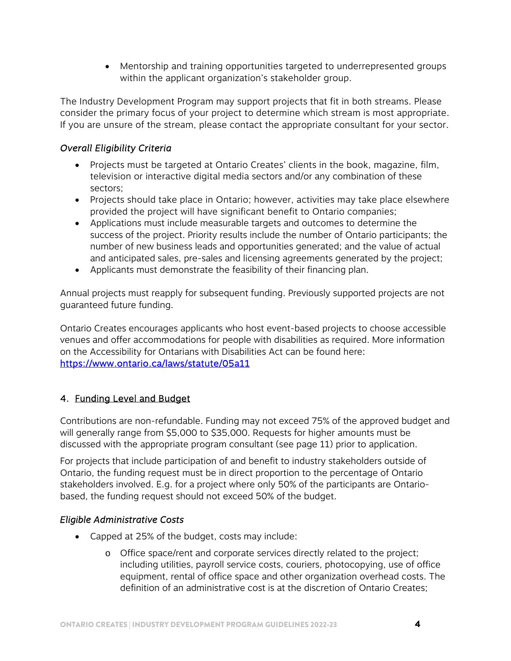Mentorship and training opportunities targeted to underrepresented groups within the applicant organization's stakeholder group.

The Industry Development Program may support projects that fit in both streams. Please consider the primary focus of your project to determine which stream is most appropriate. If you are unsure of the stream, please contact the appropriate consultant for your sector.

## *Overall Eligibility Criteria*

- Projects must be targeted at Ontario Creates' clients in the book, magazine, film, television or interactive digital media sectors and/or any combination of these sectors;
- Projects should take place in Ontario; however, activities may take place elsewhere provided the project will have significant benefit to Ontario companies;
- Applications must include measurable targets and outcomes to determine the success of the project. Priority results include the number of Ontario participants; the number of new business leads and opportunities generated; and the value of actual and anticipated sales, pre-sales and licensing agreements generated by the project;
- Applicants must demonstrate the feasibility of their financing plan.

Annual projects must reapply for subsequent funding. Previously supported projects are not guaranteed future funding.

Ontario Creates encourages applicants who host event-based projects to choose accessible venues and offer accommodations for people with disabilities as required. More information on the Accessibility for Ontarians with Disabilities Act can be found here: <https://www.ontario.ca/laws/statute/05a11>

## 4. Funding Level and Budget

Contributions are non-refundable. Funding may not exceed 75% of the approved budget and will generally range from \$5,000 to \$35,000. Requests for higher amounts must be discussed with the appropriate program consultant (see page 11) prior to application.

For projects that include participation of and benefit to industry stakeholders outside of Ontario, the funding request must be in direct proportion to the percentage of Ontario stakeholders involved. E.g. for a project where only 50% of the participants are Ontariobased, the funding request should not exceed 50% of the budget.

## *Eligible Administrative Costs*

- Capped at 25% of the budget, costs may include:
	- o Office space/rent and corporate services directly related to the project; including utilities, payroll service costs, couriers, photocopying, use of office equipment, rental of office space and other organization overhead costs. The definition of an administrative cost is at the discretion of Ontario Creates;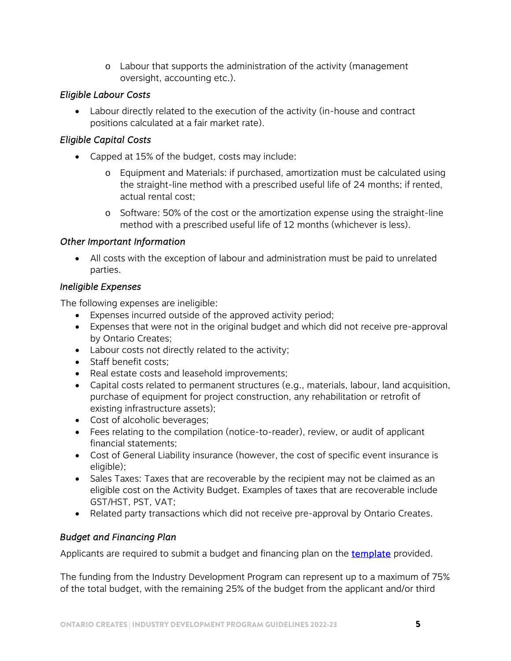o Labour that supports the administration of the activity (management oversight, accounting etc.).

## *Eligible Labour Costs*

 Labour directly related to the execution of the activity (in-house and contract positions calculated at a fair market rate).

# *Eligible Capital Costs*

- Capped at 15% of the budget, costs may include:
	- Equipment and Materials: if purchased, amortization must be calculated using the straight-line method with a prescribed useful life of 24 months; if rented, actual rental cost;
	- o Software: 50% of the cost or the amortization expense using the straight-line method with a prescribed useful life of 12 months (whichever is less).

## *Other Important Information*

 All costs with the exception of labour and administration must be paid to unrelated parties.

## *Ineligible Expenses*

The following expenses are ineligible:

- Expenses incurred outside of the approved activity period;
- Expenses that were not in the original budget and which did not receive pre-approval by Ontario Creates;
- Labour costs not directly related to the activity;
- Staff benefit costs;
- Real estate costs and leasehold improvements;
- Capital costs related to permanent structures (e.g., materials, labour, land acquisition, purchase of equipment for project construction, any rehabilitation or retrofit of existing infrastructure assets);
- Cost of alcoholic beverages;
- Fees relating to the compilation (notice-to-reader), review, or audit of applicant financial statements;
- Cost of General Liability insurance (however, the cost of specific event insurance is eligible);
- Sales Taxes: Taxes that are recoverable by the recipient may not be claimed as an eligible cost on the Activity Budget. Examples of taxes that are recoverable include GST/HST, PST, VAT;
- Related party transactions which did not receive pre-approval by Ontario Creates.

## *Budget and Financing Plan*

Applicants are required to submit a budget and financing plan on the **template** provided.

The funding from the Industry Development Program can represent up to a maximum of 75% of the total budget, with the remaining 25% of the budget from the applicant and/or third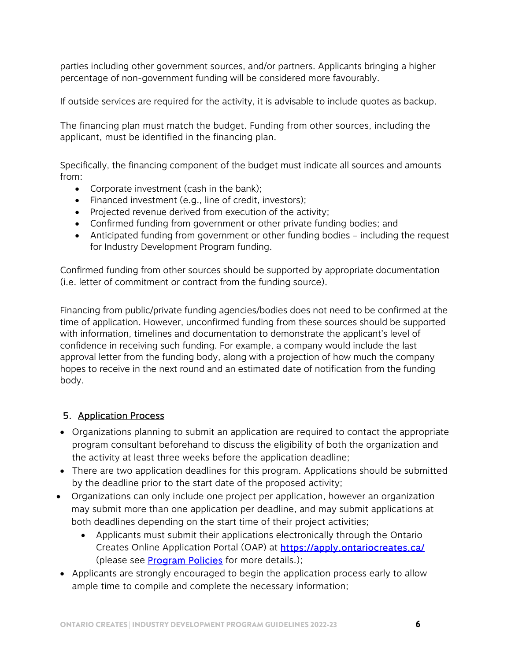parties including other government sources, and/or partners. Applicants bringing a higher percentage of non-government funding will be considered more favourably.

If outside services are required for the activity, it is advisable to include quotes as backup.

The financing plan must match the budget. Funding from other sources, including the applicant, must be identified in the financing plan.

Specifically, the financing component of the budget must indicate all sources and amounts from:

- Corporate investment (cash in the bank);
- Financed investment (e.g., line of credit, investors);
- Projected revenue derived from execution of the activity;
- Confirmed funding from government or other private funding bodies; and
- Anticipated funding from government or other funding bodies including the request for Industry Development Program funding.

Confirmed funding from other sources should be supported by appropriate documentation (i.e. letter of commitment or contract from the funding source).

Financing from public/private funding agencies/bodies does not need to be confirmed at the time of application. However, unconfirmed funding from these sources should be supported with information, timelines and documentation to demonstrate the applicant's level of confidence in receiving such funding. For example, a company would include the last approval letter from the funding body, along with a projection of how much the company hopes to receive in the next round and an estimated date of notification from the funding body.

# 5. Application Process

- Organizations planning to submit an application are required to contact the appropriate program consultant beforehand to discuss the eligibility of both the organization and the activity at least three weeks before the application deadline;
- There are two application deadlines for this program. Applications should be submitted by the deadline prior to the start date of the proposed activity;
- Organizations can only include one project per application, however an organization may submit more than one application per deadline, and may submit applications at both deadlines depending on the start time of their project activities;
	- Applicants must submit their applications electronically through the Ontario Creates Online Application Portal (OAP) a[t https://apply.ontariocreates.ca/](https://apply.ontariocreates.ca/)  (please see **Program Policies** for more details.);
- Applicants are strongly encouraged to begin the application process early to allow ample time to compile and complete the necessary information;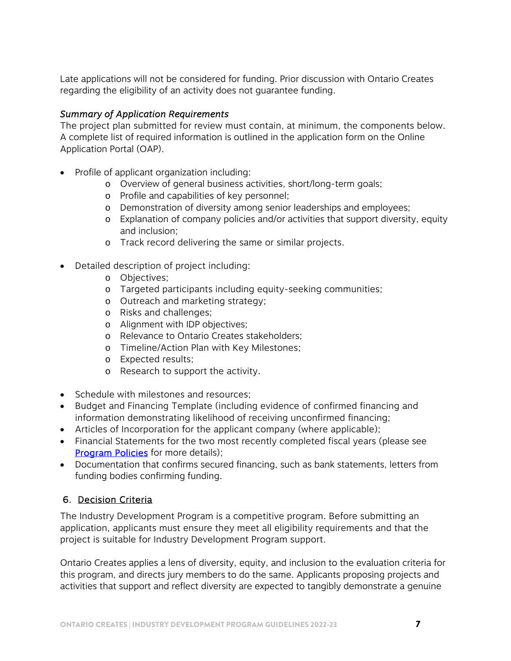Late applications will not be considered for funding. Prior discussion with Ontario Creates regarding the eligibility of an activity does not guarantee funding.

#### *Summary of Application Requirements*

The project plan submitted for review must contain, at minimum, the components below. A complete list of required information is outlined in the application form on the Online Application Portal (OAP).

- Profile of applicant organization including:
	- o Overview of general business activities, short/long-term goals;
	- o Profile and capabilities of key personnel;
	- o Demonstration of diversity among senior leaderships and employees;
	- o Explanation of company policies and/or activities that support diversity, equity and inclusion;
	- o Track record delivering the same or similar projects.
- Detailed description of project including:
	- o Objectives;
	- o Targeted participants including equity-seeking communities;
	- o Outreach and marketing strategy;
	- o Risks and challenges;
	- o Alignment with IDP objectives;
	- o Relevance to Ontario Creates stakeholders;
	- o Timeline/Action Plan with Key Milestones;
	- o Expected results;
	- o Research to support the activity.
- Schedule with milestones and resources:
- Budget and Financing Template (including evidence of confirmed financing and information demonstrating likelihood of receiving unconfirmed financing;
- Articles of Incorporation for the applicant company (where applicable);
- Financial Statements for the two most recently completed fiscal years (please see **Program Policies** for more details);
- Documentation that confirms secured financing, such as bank statements, letters from funding bodies confirming funding.

# 6. Decision Criteria

The Industry Development Program is a competitive program. Before submitting an application, applicants must ensure they meet all eligibility requirements and that the project is suitable for Industry Development Program support.

Ontario Creates applies a lens of diversity, equity, and inclusion to the evaluation criteria for this program, and directs jury members to do the same. Applicants proposing projects and activities that support and reflect diversity are expected to tangibly demonstrate a genuine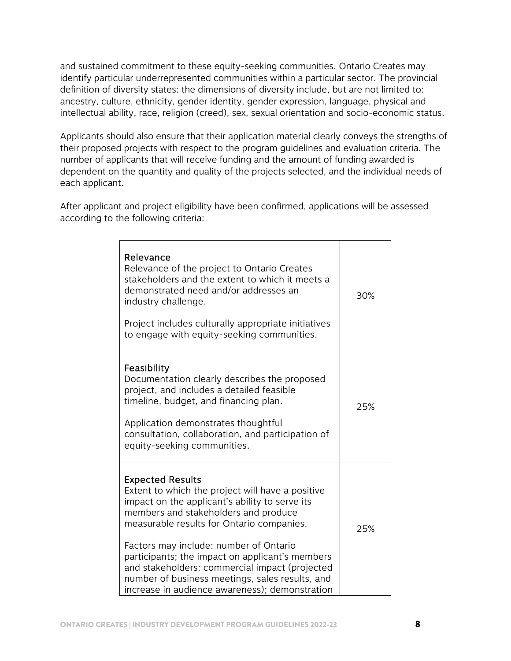and sustained commitment to these equity-seeking communities. Ontario Creates may identify particular underrepresented communities within a particular sector. The provincial definition of diversity states: the dimensions of diversity include, but are not limited to: ancestry, culture, ethnicity, gender identity, gender expression, language, physical and intellectual ability, race, religion (creed), sex, sexual orientation and socio-economic status.

Applicants should also ensure that their application material clearly conveys the strengths of their proposed projects with respect to the program guidelines and evaluation criteria. The number of applicants that will receive funding and the amount of funding awarded is dependent on the quantity and quality of the projects selected, and the individual needs of each applicant.

After applicant and project eligibility have been confirmed, applications will be assessed according to the following criteria:

| Relevance<br>Relevance of the project to Ontario Creates<br>stakeholders and the extent to which it meets a<br>demonstrated need and/or addresses an<br>industry challenge.<br>Project includes culturally appropriate initiatives<br>to engage with equity-seeking communities.                                                                                                                                                                                       | 30% |
|------------------------------------------------------------------------------------------------------------------------------------------------------------------------------------------------------------------------------------------------------------------------------------------------------------------------------------------------------------------------------------------------------------------------------------------------------------------------|-----|
| Feasibility<br>Documentation clearly describes the proposed<br>project, and includes a detailed feasible<br>timeline, budget, and financing plan.<br>Application demonstrates thoughtful<br>consultation, collaboration, and participation of<br>equity-seeking communities.                                                                                                                                                                                           | 25% |
| <b>Expected Results</b><br>Extent to which the project will have a positive<br>impact on the applicant's ability to serve its<br>members and stakeholders and produce<br>measurable results for Ontario companies.<br>Factors may include: number of Ontario<br>participants; the impact on applicant's members<br>and stakeholders; commercial impact (projected<br>number of business meetings, sales results, and<br>increase in audience awareness); demonstration | 25% |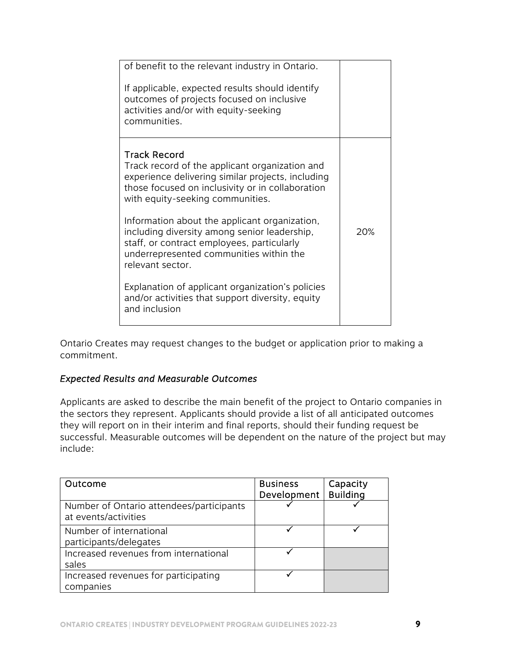| of benefit to the relevant industry in Ontario.<br>If applicable, expected results should identify<br>outcomes of projects focused on inclusive<br>activities and/or with equity-seeking<br>communities.    |     |
|-------------------------------------------------------------------------------------------------------------------------------------------------------------------------------------------------------------|-----|
| Track Record<br>Track record of the applicant organization and<br>experience delivering similar projects, including<br>those focused on inclusivity or in collaboration<br>with equity-seeking communities. |     |
| Information about the applicant organization,<br>including diversity among senior leadership,<br>staff, or contract employees, particularly<br>underrepresented communities within the<br>relevant sector.  | 20% |
| Explanation of applicant organization's policies<br>and/or activities that support diversity, equity<br>and inclusion                                                                                       |     |

Ontario Creates may request changes to the budget or application prior to making a commitment.

## *Expected Results and Measurable Outcomes*

Applicants are asked to describe the main benefit of the project to Ontario companies in the sectors they represent. Applicants should provide a list of all anticipated outcomes they will report on in their interim and final reports, should their funding request be successful. Measurable outcomes will be dependent on the nature of the project but may include:

| Outcome                                                          | <b>Business</b><br>Development | Capacity<br><b>Building</b> |
|------------------------------------------------------------------|--------------------------------|-----------------------------|
| Number of Ontario attendees/participants<br>at events/activities |                                |                             |
| Number of international<br>participants/delegates                |                                |                             |
| Increased revenues from international<br>sales                   |                                |                             |
| Increased revenues for participating<br>companies                |                                |                             |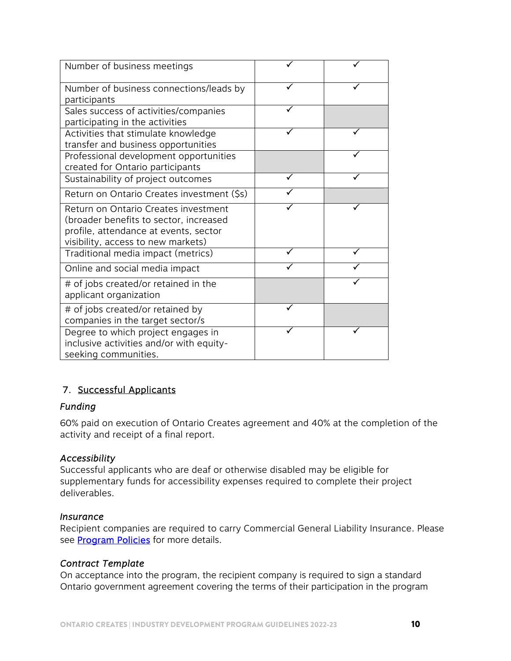| Number of business meetings                                                                                                                                   |  |
|---------------------------------------------------------------------------------------------------------------------------------------------------------------|--|
| Number of business connections/leads by<br>participants                                                                                                       |  |
| Sales success of activities/companies<br>participating in the activities                                                                                      |  |
| Activities that stimulate knowledge<br>transfer and business opportunities                                                                                    |  |
| Professional development opportunities<br>created for Ontario participants                                                                                    |  |
| Sustainability of project outcomes                                                                                                                            |  |
| Return on Ontario Creates investment (\$s)                                                                                                                    |  |
| Return on Ontario Creates investment<br>(broader benefits to sector, increased<br>profile, attendance at events, sector<br>visibility, access to new markets) |  |
| Traditional media impact (metrics)                                                                                                                            |  |
| Online and social media impact                                                                                                                                |  |
| # of jobs created/or retained in the<br>applicant organization                                                                                                |  |
| # of jobs created/or retained by<br>companies in the target sector/s                                                                                          |  |
| Degree to which project engages in<br>inclusive activities and/or with equity-<br>seeking communities.                                                        |  |

## 7. Successful Applicants

#### *Funding*

60% paid on execution of Ontario Creates agreement and 40% at the completion of the activity and receipt of a final report.

#### *Accessibility*

Successful applicants who are deaf or otherwise disabled may be eligible for supplementary funds for accessibility expenses required to complete their project deliverables.

#### *Insurance*

Recipient companies are required to carry Commercial General Liability Insurance. Please see **Program Policies** for more details.

#### *Contract Template*

On acceptance into the program, the recipient company is required to sign a standard Ontario government agreement covering the terms of their participation in the program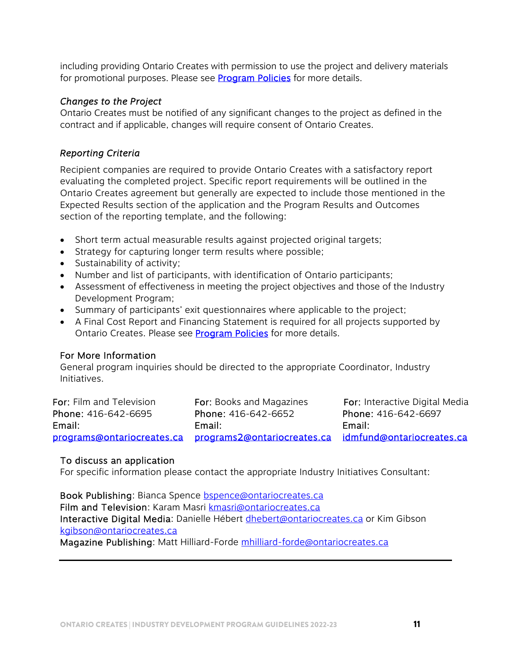including providing Ontario Creates with permission to use the project and delivery materials for promotional purposes. Please see **Program Policies** for more details.

#### *Changes to the Project*

Ontario Creates must be notified of any significant changes to the project as defined in the contract and if applicable, changes will require consent of Ontario Creates.

#### *Reporting Criteria*

Recipient companies are required to provide Ontario Creates with a satisfactory report evaluating the completed project. Specific report requirements will be outlined in the Ontario Creates agreement but generally are expected to include those mentioned in the Expected Results section of the application and the Program Results and Outcomes section of the reporting template, and the following:

- Short term actual measurable results against projected original targets;
- Strategy for capturing longer term results where possible;
- Sustainability of activity;
- Number and list of participants, with identification of Ontario participants;
- Assessment of effectiveness in meeting the project objectives and those of the Industry Development Program;
- Summary of participants' exit questionnaires where applicable to the project;
- A Final Cost Report and Financing Statement is required for all projects supported by Ontario Creates. Please see **Program Policies** for more details.

#### For More Information

General program inquiries should be directed to the appropriate Coordinator, Industry Initiatives.

| For: Film and Television | <b>For:</b> Books and Magazines                                                  | <b>For:</b> Interactive Digital Media |
|--------------------------|----------------------------------------------------------------------------------|---------------------------------------|
| Phone: 416-642-6695      | Phone: 416-642-6652                                                              | Phone: 416-642-6697                   |
| Email:                   | Email:                                                                           | Email:                                |
|                          | programs@ontariocreates.ca programs2@ontariocreates.ca idmfund@ontariocreates.ca |                                       |

#### To discuss an application

For specific information please contact the appropriate Industry Initiatives Consultant:

Book Publishing: Bianca Spence bspence@ontariocreates.ca Film and Television: Karam Masri kmasri@ontariocreates.ca Interactive Digital Media: Danielle Hébert dhebert@ontariocreates.ca or Kim Gibson kgibson@ontariocreates.ca

Magazine Publishing: Matt Hilliard-Forde mhilliard-forde@ontariocreates.ca